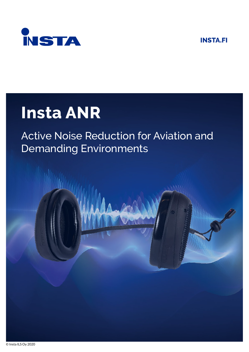**INSTA.FI** 



# **Insta ANR**

## **Active Noise Reduction for Aviation and Demanding Environments**